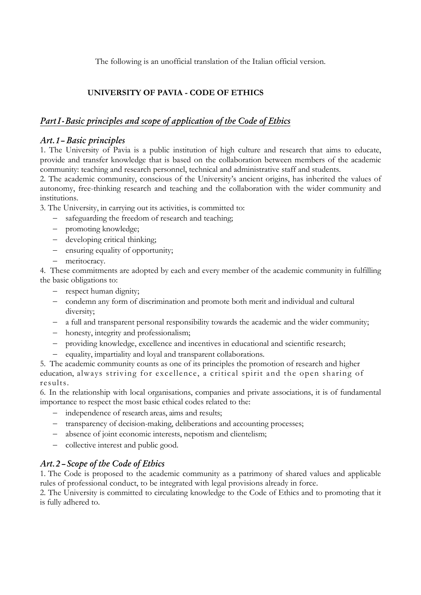The following is an unofficial translation of the Italian official version.

## **UNIVERSITY OF PAVIA - CODE OF ETHICS**

## *PartI-Basic principles and scope of application of the Code of Ethics*

### *Art.1– Basic principles*

1. The University of Pavia is a public institution of high culture and research that aims to educate, provide and transfer knowledge that is based on the collaboration between members of the academic community: teaching and research personnel, technical and administrative staff and students.

2. The academic community, conscious of the University's ancient origins, has inherited the values of autonomy, free-thinking research and teaching and the collaboration with the wider community and institutions.

3. The University, in carrying out its activities, is committed to:

- − safeguarding the freedom of research and teaching;
- − promoting knowledge;
- − developing critical thinking;
- − ensuring equality of opportunity;
- − meritocracy.

4. These commitments are adopted by each and every member of the academic community in fulfilling the basic obligations to:

- − respect human dignity;
- − condemn any form of discrimination and promote both merit and individual and cultural diversity;
- − a full and transparent personal responsibility towards the academic and the wider community;
- − honesty, integrity and professionalism;
- − providing knowledge, excellence and incentives in educational and scientific research;
- − equality, impartiality and loyal and transparent collaborations.

5. The academic community counts as one of its principles the promotion of research and higher education, always striving for excellence, a critical spirit and the open sharing of results.

6. In the relationship with local organisations, companies and private associations, it is of fundamental importance to respect the most basic ethical codes related to the:

- − independence of research areas, aims and results;
- − transparency of decision-making, deliberations and accounting processes;
- − absence of joint economic interests, nepotism and clientelism;
- − collective interest and public good.

# *Art.2 – Scope of the Code of Ethics*

1. The Code is proposed to the academic community as a patrimony of shared values and applicable rules of professional conduct, to be integrated with legal provisions already in force.

2. The University is committed to circulating knowledge to the Code of Ethics and to promoting that it is fully adhered to.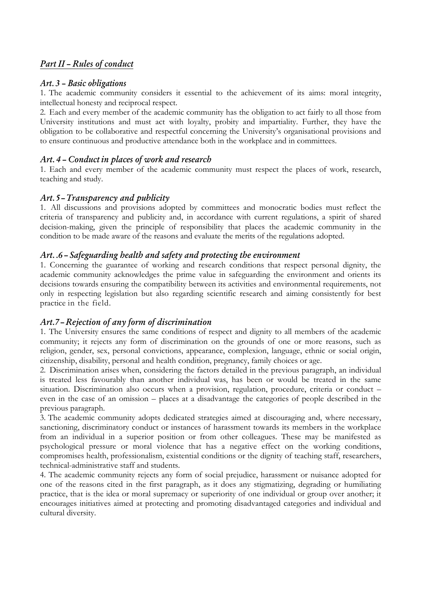## *PartII – Rules of conduct*

### *Art. 3 – Basic obligations*

1. The academic community considers it essential to the achievement of its aims: moral integrity, intellectual honesty and reciprocal respect.

2. Each and every member of the academic community has the obligation to act fairly to all those from University institutions and must act with loyalty, probity and impartiality. Further, they have the obligation to be collaborative and respectful concerning the University's organisational provisions and to ensure continuous and productive attendance both in the workplace and in committees.

### *Art. 4 – Conduct in places of work and research*

1. Each and every member of the academic community must respect the places of work, research, teaching and study.

### *Art.5–Transparency and publicity*

1. All discussions and provisions adopted by committees and monocratic bodies must reflect the criteria of transparency and publicity and, in accordance with current regulations, a spirit of shared decision-making, given the principle of responsibility that places the academic community in the condition to be made aware of the reasons and evaluate the merits of the regulations adopted.

### *Art. .6 – Safeguarding health and safety and protecting the environment*

1. Concerning the guarantee of working and research conditions that respect personal dignity, the academic community acknowledges the prime value in safeguarding the environment and orients its decisions towards ensuring the compatibility between its activities and environmental requirements, not only in respecting legislation but also regarding scientific research and aiming consistently for best practice in the field.

### *Art.7–Rejection of any form of discrimination*

1. The University ensures the same conditions of respect and dignity to all members of the academic community; it rejects any form of discrimination on the grounds of one or more reasons, such as religion, gender, sex, personal convictions, appearance, complexion, language, ethnic or social origin, citizenship, disability, personal and health condition, pregnancy, family choices or age.

2. Discrimination arises when, considering the factors detailed in the previous paragraph, an individual is treated less favourably than another individual was, has been or would be treated in the same situation. Discrimination also occurs when a provision, regulation, procedure, criteria or conduct – even in the case of an omission – places at a disadvantage the categories of people described in the previous paragraph.

3. The academic community adopts dedicated strategies aimed at discouraging and, where necessary, sanctioning, discriminatory conduct or instances of harassment towards its members in the workplace from an individual in a superior position or from other colleagues. These may be manifested as psychological pressure or moral violence that has a negative effect on the working conditions, compromises health, professionalism, existential conditions or the dignity of teaching staff, researchers, technical-administrative staff and students.

4. The academic community rejects any form of social prejudice, harassment or nuisance adopted for one of the reasons cited in the first paragraph, as it does any stigmatizing, degrading or humiliating practice, that is the idea or moral supremacy or superiority of one individual or group over another; it encourages initiatives aimed at protecting and promoting disadvantaged categories and individual and cultural diversity.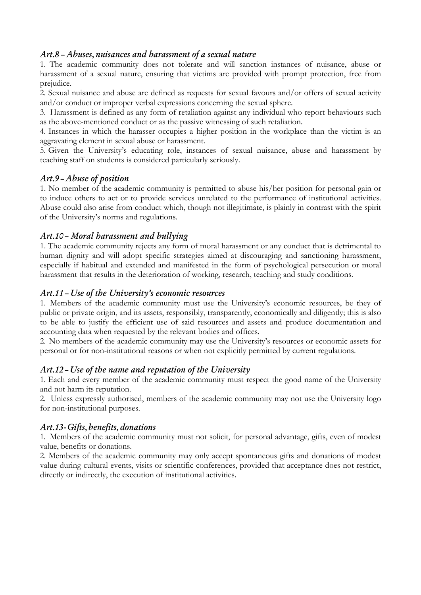### *Art.8 – Abuses, nuisances and harassment of a sexual nature*

1. The academic community does not tolerate and will sanction instances of nuisance, abuse or harassment of a sexual nature, ensuring that victims are provided with prompt protection, free from prejudice.

2. Sexual nuisance and abuse are defined as requests for sexual favours and/or offers of sexual activity and/or conduct or improper verbal expressions concerning the sexual sphere.

3. Harassment is defined as any form of retaliation against any individual who report behaviours such as the above-mentioned conduct or as the passive witnessing of such retaliation.

4. Instances in which the harasser occupies a higher position in the workplace than the victim is an aggravating element in sexual abuse or harassment.

5. Given the University's educating role, instances of sexual nuisance, abuse and harassment by teaching staff on students is considered particularly seriously.

### *Art.9–Abuse of position*

1. No member of the academic community is permitted to abuse his/her position for personal gain or to induce others to act or to provide services unrelated to the performance of institutional activities. Abuse could also arise from conduct which, though not illegitimate, is plainly in contrast with the spirit of the University's norms and regulations.

### *Art.10– Moral harassment and bullying*

1. The academic community rejects any form of moral harassment or any conduct that is detrimental to human dignity and will adopt specific strategies aimed at discouraging and sanctioning harassment, especially if habitual and extended and manifested in the form of psychological persecution or moral harassment that results in the deterioration of working, research, teaching and study conditions.

#### *Art.11 – Use of the University's economic resources*

1. Members of the academic community must use the University's economic resources, be they of public or private origin, and its assets, responsibly, transparently, economically and diligently; this is also to be able to justify the efficient use of said resources and assets and produce documentation and accounting data when requested by the relevant bodies and offices.

2. No members of the academic community may use the University's resources or economic assets for personal or for non-institutional reasons or when not explicitly permitted by current regulations.

### *Art.12–Use of the name and reputation of the University*

1. Each and every member of the academic community must respect the good name of the University and not harm its reputation.

2. Unless expressly authorised, members of the academic community may not use the University logo for non-institutional purposes.

### *Art.13-Gifts, benefits, donations*

1. Members of the academic community must not solicit, for personal advantage, gifts, even of modest value, benefits or donations.

2. Members of the academic community may only accept spontaneous gifts and donations of modest value during cultural events, visits or scientific conferences, provided that acceptance does not restrict, directly or indirectly, the execution of institutional activities.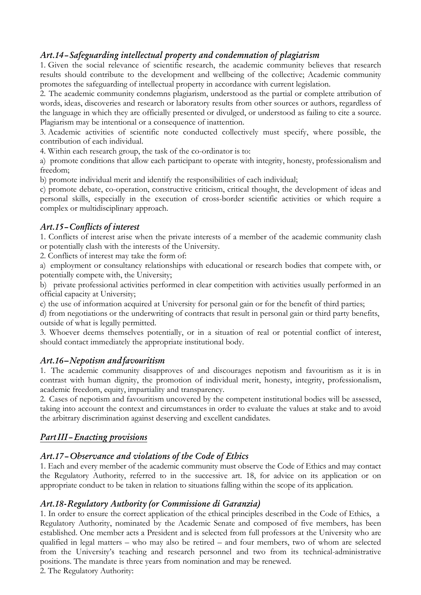# *Art.14–Safeguarding intellectual property and condemnation of plagiarism*

1. Given the social relevance of scientific research, the academic community believes that research results should contribute to the development and wellbeing of the collective; Academic community promotes the safeguarding of intellectual property in accordance with current legislation.

2. The academic community condemns plagiarism, understood as the partial or complete attribution of words, ideas, discoveries and research or laboratory results from other sources or authors, regardless of the language in which they are officially presented or divulged, or understood as failing to cite a source. Plagiarism may be intentional or a consequence of inattention.

3. Academic activities of scientific note conducted collectively must specify, where possible, the contribution of each individual.

4. Within each research group, the task of the co-ordinator is to:

a) promote conditions that allow each participant to operate with integrity, honesty, professionalism and freedom;

b) promote individual merit and identify the responsibilities of each individual;

c) promote debate, co-operation, constructive criticism, critical thought, the development of ideas and personal skills, especially in the execution of cross-border scientific activities or which require a complex or multidisciplinary approach.

### *Art.15–Conflicts of interest*

1. Conflicts of interest arise when the private interests of a member of the academic community clash or potentially clash with the interests of the University.

2. Conflicts of interest may take the form of:

a) employment or consultancy relationships with educational or research bodies that compete with, or potentially compete with, the University;

b) private professional activities performed in clear competition with activities usually performed in an official capacity at University;

c) the use of information acquired at University for personal gain or for the benefit of third parties;

d) from negotiations or the underwriting of contracts that result in personal gain or third party benefits, outside of what is legally permitted.

3. Whoever deems themselves potentially, or in a situation of real or potential conflict of interest, should contact immediately the appropriate institutional body.

### *Art.16***–***Nepotism andfavouritism*

1. The academic community disapproves of and discourages nepotism and favouritism as it is in contrast with human dignity, the promotion of individual merit, honesty, integrity, professionalism, academic freedom, equity, impartiality and transparency.

2. Cases of nepotism and favouritism uncovered by the competent institutional bodies will be assessed, taking into account the context and circumstances in order to evaluate the values at stake and to avoid the arbitrary discrimination against deserving and excellent candidates.

# *PartIII–Enacting provisions*

### *Art.17–Observance and violations of the Code of Ethics*

1. Each and every member of the academic community must observe the Code of Ethics and may contact the Regulatory Authority, referred to in the successive art. 18, for advice on its application or on appropriate conduct to be taken in relation to situations falling within the scope of its application.

### *Art.18-Regulatory Authority (or Commissione di Garanzia)*

1. In order to ensure the correct application of the ethical principles described in the Code of Ethics, a Regulatory Authority, nominated by the Academic Senate and composed of five members, has been established. One member acts a President and is selected from full professors at the University who are qualified in legal matters – who may also be retired – and four members, two of whom are selected from the University's teaching and research personnel and two from its technical-administrative positions. The mandate is three years from nomination and may be renewed.

2. The Regulatory Authority: